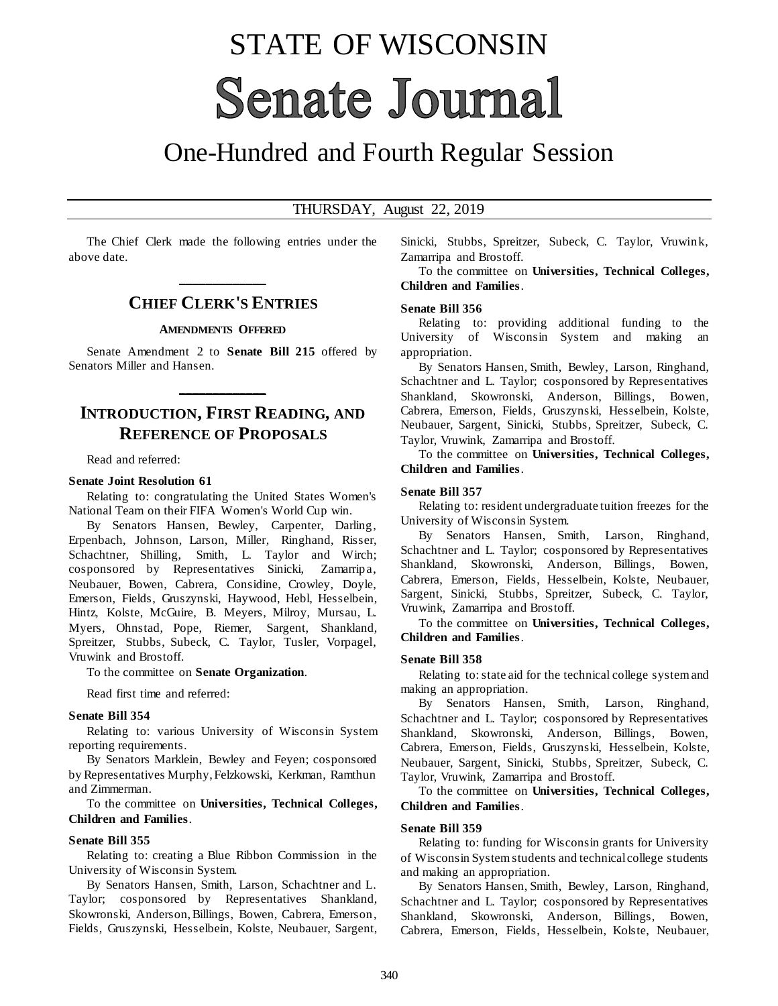# STATE OF WISCONSIN **Senate Journal**

# One-Hundred and Fourth Regular Session

#### THURSDAY, August 22, 2019

The Chief Clerk made the following entries under the above date.

# **\_\_\_\_\_\_\_\_\_\_\_\_\_ CHIEF CLERK'S ENTRIES**

#### **AMENDMENTS OFFERED**

Senate Amendment 2 to **Senate Bill 215** offered by Senators Miller and Hansen.

**\_\_\_\_\_\_\_\_\_\_\_\_\_**

# **INTRODUCTION, FIRST READING, AND REFERENCE OF PROPOSALS**

Read and referred:

#### **Senate Joint Resolution 61**

Relating to: congratulating the United States Women's National Team on their FIFA Women's World Cup win.

By Senators Hansen, Bewley, Carpenter, Darling, Erpenbach, Johnson, Larson, Miller, Ringhand, Risser, Schachtner, Shilling, Smith, L. Taylor and Wirch; cosponsored by Representatives Sinicki, Zamarripa, Neubauer, Bowen, Cabrera, Considine, Crowley, Doyle, Emerson, Fields, Gruszynski, Haywood, Hebl, Hesselbein, Hintz, Kolste, McGuire, B. Meyers, Milroy, Mursau, L. Myers, Ohnstad, Pope, Riemer, Sargent, Shankland, Spreitzer, Stubbs, Subeck, C. Taylor, Tusler, Vorpagel, Vruwink and Brostoff.

To the committee on **Senate Organization**.

Read first time and referred:

#### **Senate Bill 354**

Relating to: various University of Wisconsin System reporting requirements.

By Senators Marklein, Bewley and Feyen; cosponsored by Representatives Murphy, Felzkowski, Kerkman, Ramthun and Zimmerman.

To the committee on **Universities, Technical Colleges, Children and Families**.

#### **Senate Bill 355**

Relating to: creating a Blue Ribbon Commission in the University of Wisconsin System.

By Senators Hansen, Smith, Larson, Schachtner and L. Taylor; cosponsored by Representatives Shankland, Skowronski, Anderson, Billings, Bowen, Cabrera, Emerson, Fields, Gruszynski, Hesselbein, Kolste, Neubauer, Sargent, Sinicki, Stubbs, Spreitzer, Subeck, C. Taylor, Vruwink, Zamarripa and Brostoff.

To the committee on **Universities, Technical Colleges, Children and Families**.

#### **Senate Bill 356**

Relating to: providing additional funding to the University of Wisconsin System and making an appropriation.

By Senators Hansen, Smith, Bewley, Larson, Ringhand, Schachtner and L. Taylor; cosponsored by Representatives Shankland, Skowronski, Anderson, Billings, Bowen, Cabrera, Emerson, Fields, Gruszynski, Hesselbein, Kolste, Neubauer, Sargent, Sinicki, Stubbs, Spreitzer, Subeck, C. Taylor, Vruwink, Zamarripa and Brostoff.

To the committee on **Universities, Technical Colleges, Children and Families**.

#### **Senate Bill 357**

Relating to: resident undergraduate tuition freezes for the University of Wisconsin System.

By Senators Hansen, Smith, Larson, Ringhand, Schachtner and L. Taylor; cosponsored by Representatives Shankland, Skowronski, Anderson, Billings, Bowen, Cabrera, Emerson, Fields, Hesselbein, Kolste, Neubauer, Sargent, Sinicki, Stubbs, Spreitzer, Subeck, C. Taylor, Vruwink, Zamarripa and Brostoff.

To the committee on **Universities, Technical Colleges, Children and Families**.

#### **Senate Bill 358**

Relating to: state aid for the technical college system and making an appropriation.

By Senators Hansen, Smith, Larson, Ringhand, Schachtner and L. Taylor; cosponsored by Representatives Shankland, Skowronski, Anderson, Billings, Bowen, Cabrera, Emerson, Fields, Gruszynski, Hesselbein, Kolste, Neubauer, Sargent, Sinicki, Stubbs, Spreitzer, Subeck, C. Taylor, Vruwink, Zamarripa and Brostoff.

To the committee on **Universities, Technical Colleges, Children and Families**.

#### **Senate Bill 359**

Relating to: funding for Wisconsin grants for University of Wisconsin System students and technical college students and making an appropriation.

By Senators Hansen, Smith, Bewley, Larson, Ringhand, Schachtner and L. Taylor; cosponsored by Representatives Shankland, Skowronski, Anderson, Billings, Bowen, Cabrera, Emerson, Fields, Hesselbein, Kolste, Neubauer,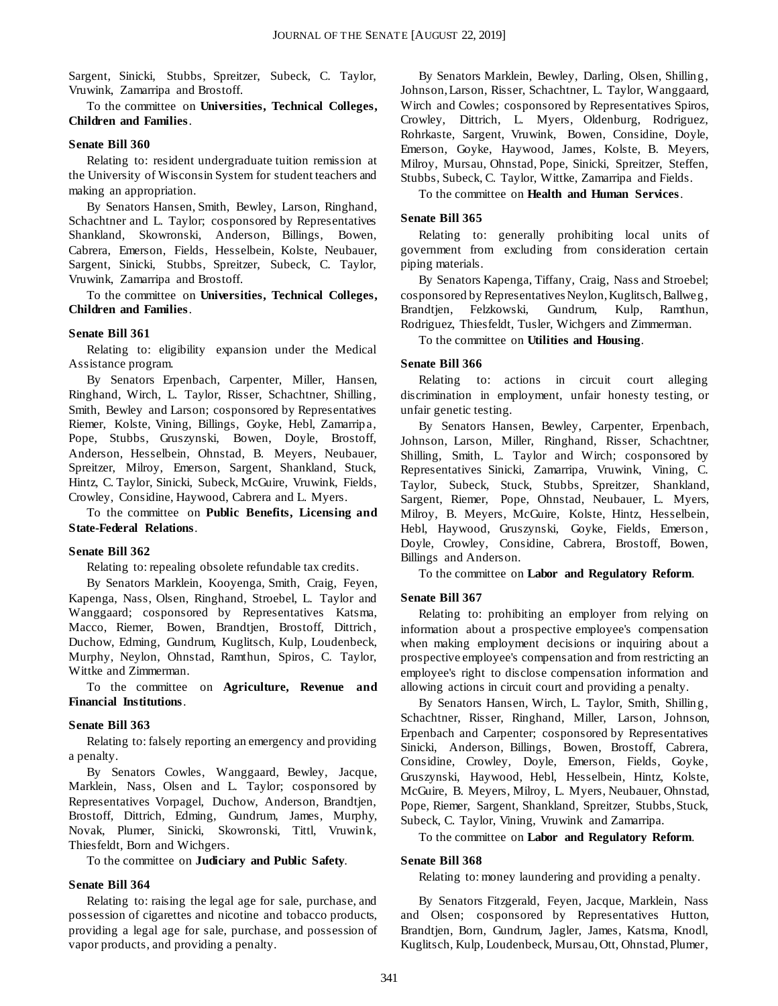Sargent, Sinicki, Stubbs, Spreitzer, Subeck, C. Taylor, Vruwink, Zamarripa and Brostoff.

To the committee on **Universities, Technical Colleges, Children and Families**.

#### **Senate Bill 360**

Relating to: resident undergraduate tuition remission at the University of Wisconsin System for student teachers and making an appropriation.

By Senators Hansen, Smith, Bewley, Larson, Ringhand, Schachtner and L. Taylor; cosponsored by Representatives Shankland, Skowronski, Anderson, Billings, Bowen, Cabrera, Emerson, Fields, Hesselbein, Kolste, Neubauer, Sargent, Sinicki, Stubbs, Spreitzer, Subeck, C. Taylor, Vruwink, Zamarripa and Brostoff.

To the committee on **Universities, Technical Colleges, Children and Families**.

#### **Senate Bill 361**

Relating to: eligibility expansion under the Medical Assistance program.

By Senators Erpenbach, Carpenter, Miller, Hansen, Ringhand, Wirch, L. Taylor, Risser, Schachtner, Shilling, Smith, Bewley and Larson; cosponsored by Representatives Riemer, Kolste, Vining, Billings, Goyke, Hebl, Zamarripa, Pope, Stubbs, Gruszynski, Bowen, Doyle, Brostoff, Anderson, Hesselbein, Ohnstad, B. Meyers, Neubauer, Spreitzer, Milroy, Emerson, Sargent, Shankland, Stuck, Hintz, C. Taylor, Sinicki, Subeck, McGuire, Vruwink, Fields, Crowley, Considine, Haywood, Cabrera and L. Myers.

To the committee on **Public Benefits, Licensing and State-Federal Relations**.

#### **Senate Bill 362**

Relating to: repealing obsolete refundable tax credits.

By Senators Marklein, Kooyenga, Smith, Craig, Feyen, Kapenga, Nass, Olsen, Ringhand, Stroebel, L. Taylor and Wanggaard; cosponsored by Representatives Katsma, Macco, Riemer, Bowen, Brandtjen, Brostoff, Dittrich, Duchow, Edming, Gundrum, Kuglitsch, Kulp, Loudenbeck, Murphy, Neylon, Ohnstad, Ramthun, Spiros, C. Taylor, Wittke and Zimmerman.

To the committee on **Agriculture, Revenue and Financial Institutions**.

#### **Senate Bill 363**

Relating to: falsely reporting an emergency and providing a penalty.

By Senators Cowles, Wanggaard, Bewley, Jacque, Marklein, Nass, Olsen and L. Taylor; cosponsored by Representatives Vorpagel, Duchow, Anderson, Brandtjen, Brostoff, Dittrich, Edming, Gundrum, James, Murphy, Novak, Plumer, Sinicki, Skowronski, Tittl, Vruwink, Thiesfeldt, Born and Wichgers.

To the committee on **Judiciary and Public Safety**.

#### **Senate Bill 364**

Relating to: raising the legal age for sale, purchase, and possession of cigarettes and nicotine and tobacco products, providing a legal age for sale, purchase, and possession of vapor products, and providing a penalty.

By Senators Marklein, Bewley, Darling, Olsen, Shilling, Johnson, Larson, Risser, Schachtner, L. Taylor, Wanggaard, Wirch and Cowles; cosponsored by Representatives Spiros, Crowley, Dittrich, L. Myers, Oldenburg, Rodriguez, Rohrkaste, Sargent, Vruwink, Bowen, Considine, Doyle, Emerson, Goyke, Haywood, James, Kolste, B. Meyers, Milroy, Mursau, Ohnstad, Pope, Sinicki, Spreitzer, Steffen, Stubbs, Subeck, C. Taylor, Wittke, Zamarripa and Fields.

To the committee on **Health and Human Services**.

#### **Senate Bill 365**

Relating to: generally prohibiting local units of government from excluding from consideration certain piping materials.

By Senators Kapenga, Tiffany, Craig, Nass and Stroebel; cosponsored by Representatives Neylon, Kuglitsch, Ballweg, Gundrum, Kulp, Ramthun, Rodriguez, Thiesfeldt, Tusler, Wichgers and Zimmerman.

To the committee on **Utilities and Housing**.

#### **Senate Bill 366**

Relating to: actions in circuit court alleging discrimination in employment, unfair honesty testing, or unfair genetic testing.

By Senators Hansen, Bewley, Carpenter, Erpenbach, Johnson, Larson, Miller, Ringhand, Risser, Schachtner, Shilling, Smith, L. Taylor and Wirch; cosponsored by Representatives Sinicki, Zamarripa, Vruwink, Vining, C. Taylor, Subeck, Stuck, Stubbs, Spreitzer, Shankland, Sargent, Riemer, Pope, Ohnstad, Neubauer, L. Myers, Milroy, B. Meyers, McGuire, Kolste, Hintz, Hesselbein, Hebl, Haywood, Gruszynski, Goyke, Fields, Emerson, Doyle, Crowley, Considine, Cabrera, Brostoff, Bowen, Billings and Anderson.

To the committee on **Labor and Regulatory Reform**.

#### **Senate Bill 367**

Relating to: prohibiting an employer from relying on information about a prospective employee's compensation when making employment decisions or inquiring about a prospective employee's compensation and from restricting an employee's right to disclose compensation information and allowing actions in circuit court and providing a penalty.

By Senators Hansen, Wirch, L. Taylor, Smith, Shilling, Schachtner, Risser, Ringhand, Miller, Larson, Johnson, Erpenbach and Carpenter; cosponsored by Representatives Sinicki, Anderson, Billings, Bowen, Brostoff, Cabrera, Considine, Crowley, Doyle, Emerson, Fields, Goyke, Gruszynski, Haywood, Hebl, Hesselbein, Hintz, Kolste, McGuire, B. Meyers, Milroy, L. Myers, Neubauer, Ohnstad, Pope, Riemer, Sargent, Shankland, Spreitzer, Stubbs, Stuck, Subeck, C. Taylor, Vining, Vruwink and Zamarripa.

To the committee on **Labor and Regulatory Reform**.

#### **Senate Bill 368**

Relating to: money laundering and providing a penalty.

By Senators Fitzgerald, Feyen, Jacque, Marklein, Nass and Olsen; cosponsored by Representatives Hutton, Brandtjen, Born, Gundrum, Jagler, James, Katsma, Knodl, Kuglitsch, Kulp, Loudenbeck, Mursau, Ott, Ohnstad, Plumer,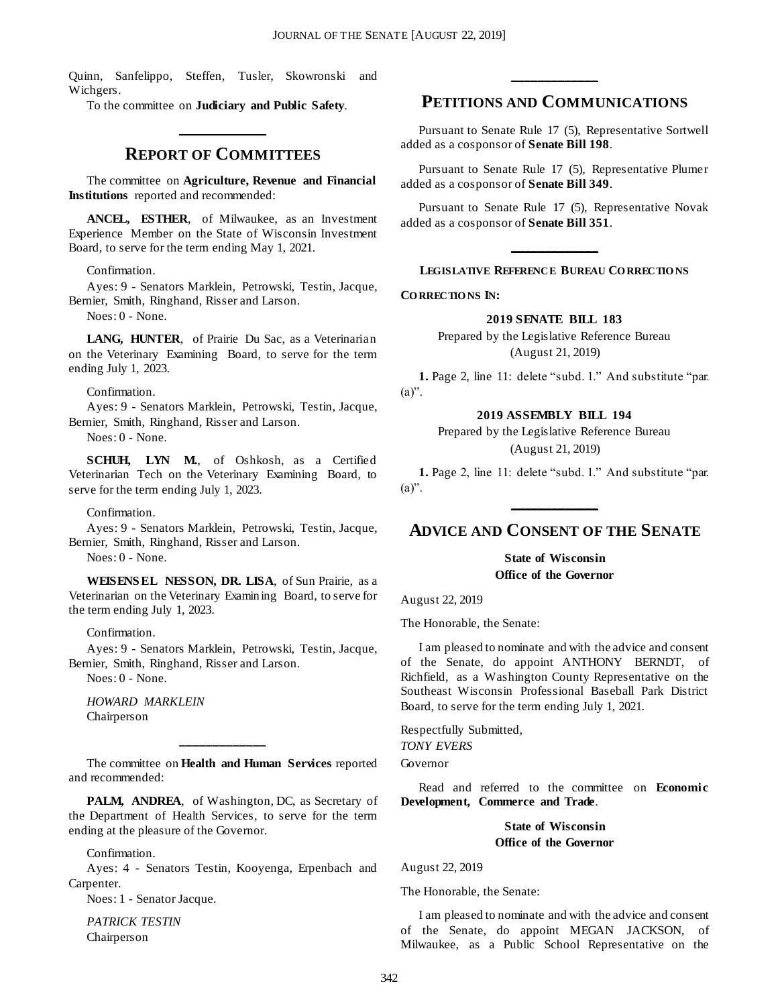Quinn, Sanfelippo, Steffen, Tusler, Skowronski and Wichgers.

To the committee on **Judiciary and Public Safety**.

#### **REPORT OF COMMITTEES**

**\_\_\_\_\_\_\_\_\_\_\_\_\_**

The committee on **Agriculture, Revenue and Financial Institutions** reported and recommended:

**ANCEL, ESTHER**, of Milwaukee, as an Investment Experience Member on the State of Wisconsin Investment Board, to serve for the term ending May 1, 2021.

#### Confirmation.

Ayes: 9 - Senators Marklein, Petrowski, Testin, Jacque, Bernier, Smith, Ringhand, Risser and Larson.

Noes: 0 - None.

**LANG, HUNTER**, of Prairie Du Sac, as a Veterinarian on the Veterinary Examining Board, to serve for the term ending July 1, 2023.

#### Confirmation.

Ayes: 9 - Senators Marklein, Petrowski, Testin, Jacque, Bernier, Smith, Ringhand, Risser and Larson.

Noes: 0 - None.

**SCHUH, LYN M.**, of Oshkosh, as a Certified Veterinarian Tech on the Veterinary Examining Board, to serve for the term ending July 1, 2023.

Confirmation.

Ayes: 9 - Senators Marklein, Petrowski, Testin, Jacque, Bernier, Smith, Ringhand, Risser and Larson.

Noes: 0 - None.

**WEISENS EL NESSON, DR. LISA**, of Sun Prairie, as a Veterinarian on the Veterinary Examining Board, to serve for the term ending July 1, 2023.

Confirmation.

Ayes: 9 - Senators Marklein, Petrowski, Testin, Jacque, Bernier, Smith, Ringhand, Risser and Larson.

Noes: 0 - None.

*HOWARD MARKLEIN* Chairperson

The committee on **Health and Human Services** reported and recommended:

**\_\_\_\_\_\_\_\_\_\_\_\_\_**

PALM, ANDREA, of Washington, DC, as Secretary of the Department of Health Services, to serve for the term ending at the pleasure of the Governor.

Confirmation.

Ayes: 4 - Senators Testin, Kooyenga, Erpenbach and Carpenter.

Noes: 1 - Senator Jacque.

*PATRICK TESTIN* Chairperson

## **PETITIONS AND COMMUNICATIONS**

**\_\_\_\_\_\_\_\_\_\_\_\_\_**

Pursuant to Senate Rule 17 (5), Representative Sortwell added as a cosponsor of **Senate Bill 198**.

Pursuant to Senate Rule 17 (5), Representative Plumer added as a cosponsor of **Senate Bill 349**.

Pursuant to Senate Rule 17 (5), Representative Novak added as a cosponsor of **Senate Bill 351**.

# **\_\_\_\_\_\_\_\_\_\_\_\_\_ LEGISLATIVE REFERENCE BUREAU CO RRECTIO NS**

**CO RRECTIO NS IN:**

#### **2019 SENATE BILL 183**

Prepared by the Legislative Reference Bureau (August 21, 2019)

**1.** Page 2, line 11: delete "subd. 1." And substitute "par.  $(a)$ ".

#### **2019 ASSEMBLY BILL 194**

Prepared by the Legislative Reference Bureau (August 21, 2019)

**1.** Page 2, line 11: delete "subd. 1." And substitute "par.  $(a)$ ". **\_\_\_\_\_\_\_\_\_\_\_\_\_**

## **ADVICE AND CONSENT OF THE SENATE**

**State of Wisconsin Office of the Governor**

August 22, 2019

The Honorable, the Senate:

I am pleased to nominate and with the advice and consent of the Senate, do appoint ANTHONY BERNDT, of Richfield, as a Washington County Representative on the Southeast Wisconsin Professional Baseball Park District Board, to serve for the term ending July 1, 2021.

Respectfully Submitted, *TONY EVERS*

Governor

Read and referred to the committee on **Economic Development, Commerce and Trade**.

#### **State of Wisconsin Office of the Governor**

August 22, 2019

The Honorable, the Senate:

I am pleased to nominate and with the advice and consent of the Senate, do appoint MEGAN JACKSON, of Milwaukee, as a Public School Representative on the